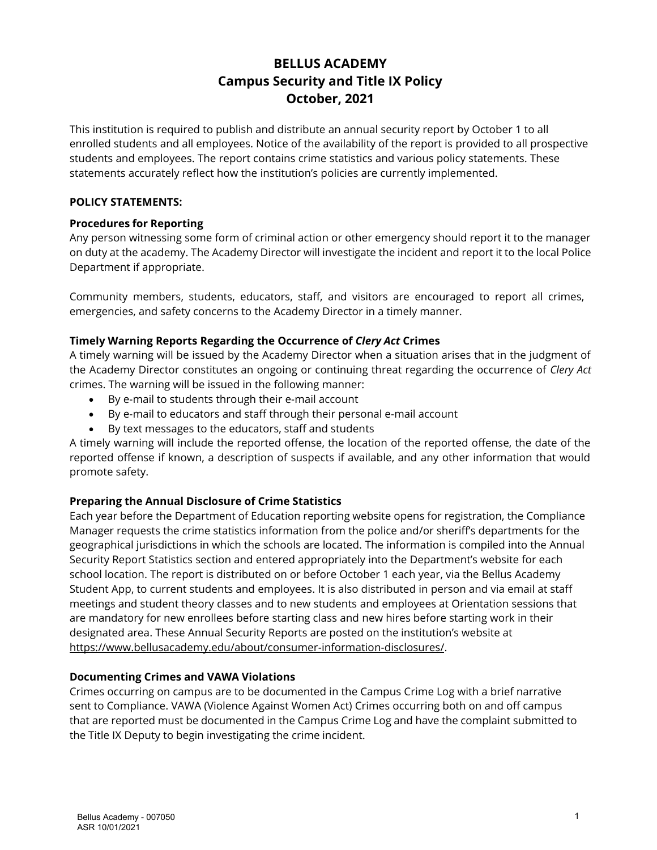# **BELLUS ACADEMY Campus Security and Title IX Policy October, 2021**

This institution is required to publish and distribute an annual security report by October 1 to all enrolled students and all employees. Notice of the availability of the report is provided to all prospective students and employees. The report contains crime statistics and various policy statements. These statements accurately reflect how the institution's policies are currently implemented.

### **POLICY STATEMENTS:**

### **Procedures for Reporting**

Any person witnessing some form of criminal action or other emergency should report it to the manager on duty at the academy. The Academy Director will investigate the incident and report it to the local Police Department if appropriate.

Community members, students, educators, staff, and visitors are encouraged to report all crimes, emergencies, and safety concerns to the Academy Director in a timely manner.

### **Timely Warning Reports Regarding the Occurrence of** *Clery Act* **Crimes**

A timely warning will be issued by the Academy Director when a situation arises that in the judgment of the Academy Director constitutes an ongoing or continuing threat regarding the occurrence of *Clery Act* crimes. The warning will be issued in the following manner:

- By e-mail to students through their e-mail account
- By e-mail to educators and staff through their personal e-mail account
- By text messages to the educators, staff and students

A timely warning will include the reported offense, the location of the reported offense, the date of the reported offense if known, a description of suspects if available, and any other information that would promote safety.

# **Preparing the Annual Disclosure of Crime Statistics**

Each year before the Department of Education reporting website opens for registration, the Compliance Manager requests the crime statistics information from the police and/or sheriff's departments for the geographical jurisdictions in which the schools are located. The information is compiled into the Annual Security Report Statistics section and entered appropriately into the Department's website for each school location. The report is distributed on or before October 1 each year, via the Bellus Academy Student App, to current students and employees. It is also distributed in person and via email at staff meetings and student theory classes and to new students and employees at Orientation sessions that are mandatory for new enrollees before starting class and new hires before starting work in their designated area. These Annual Security Reports are posted on the institution's website at [https://www.bellusacademy.edu/about/consumer-information-disclosures/.](https://www.bellusacademy.edu/about/consumer-information-disclosures/)

### **Documenting Crimes and VAWA Violations**

Crimes occurring on campus are to be documented in the Campus Crime Log with a brief narrative sent to Compliance. VAWA (Violence Against Women Act) Crimes occurring both on and off campus that are reported must be documented in the Campus Crime Log and have the complaint submitted to the Title IX Deputy to begin investigating the crime incident.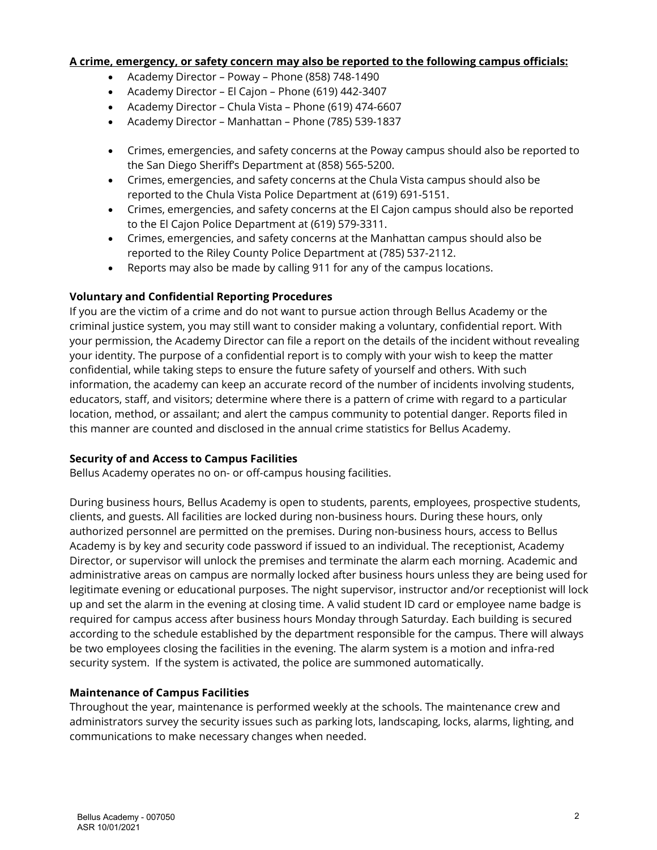### **A crime, emergency, or safety concern may also be reported to the following campus officials:**

- Academy Director Poway Phone (858) 748-1490
- Academy Director El Cajon Phone (619) 442-3407
- Academy Director Chula Vista Phone (619) 474-6607
- Academy Director Manhattan Phone (785) 539-1837
- Crimes, emergencies, and safety concerns at the Poway campus should also be reported to the San Diego Sheriff's Department at (858) 565-5200.
- Crimes, emergencies, and safety concerns at the Chula Vista campus should also be reported to the Chula Vista Police Department at (619) 691-5151.
- Crimes, emergencies, and safety concerns at the El Cajon campus should also be reported to the El Cajon Police Department at (619) 579-3311.
- Crimes, emergencies, and safety concerns at the Manhattan campus should also be reported to the Riley County Police Department at (785) 537-2112.
- Reports may also be made by calling 911 for any of the campus locations.

### **Voluntary and Confidential Reporting Procedures**

If you are the victim of a crime and do not want to pursue action through Bellus Academy or the criminal justice system, you may still want to consider making a voluntary, confidential report. With your permission, the Academy Director can file a report on the details of the incident without revealing your identity. The purpose of a confidential report is to comply with your wish to keep the matter confidential, while taking steps to ensure the future safety of yourself and others. With such information, the academy can keep an accurate record of the number of incidents involving students, educators, staff, and visitors; determine where there is a pattern of crime with regard to a particular location, method, or assailant; and alert the campus community to potential danger. Reports filed in this manner are counted and disclosed in the annual crime statistics for Bellus Academy.

### **Security of and Access to Campus Facilities**

Bellus Academy operates no on- or off-campus housing facilities.

During business hours, Bellus Academy is open to students, parents, employees, prospective students, clients, and guests. All facilities are locked during non-business hours. During these hours, only authorized personnel are permitted on the premises. During non-business hours, access to Bellus Academy is by key and security code password if issued to an individual. The receptionist, Academy Director, or supervisor will unlock the premises and terminate the alarm each morning. Academic and administrative areas on campus are normally locked after business hours unless they are being used for legitimate evening or educational purposes. The night supervisor, instructor and/or receptionist will lock up and set the alarm in the evening at closing time. A valid student ID card or employee name badge is required for campus access after business hours Monday through Saturday. Each building is secured according to the schedule established by the department responsible for the campus. There will always be two employees closing the facilities in the evening. The alarm system is a motion and infra-red security system. If the system is activated, the police are summoned automatically.

### **Maintenance of Campus Facilities**

Throughout the year, maintenance is performed weekly at the schools. The maintenance crew and administrators survey the security issues such as parking lots, landscaping, locks, alarms, lighting, and communications to make necessary changes when needed.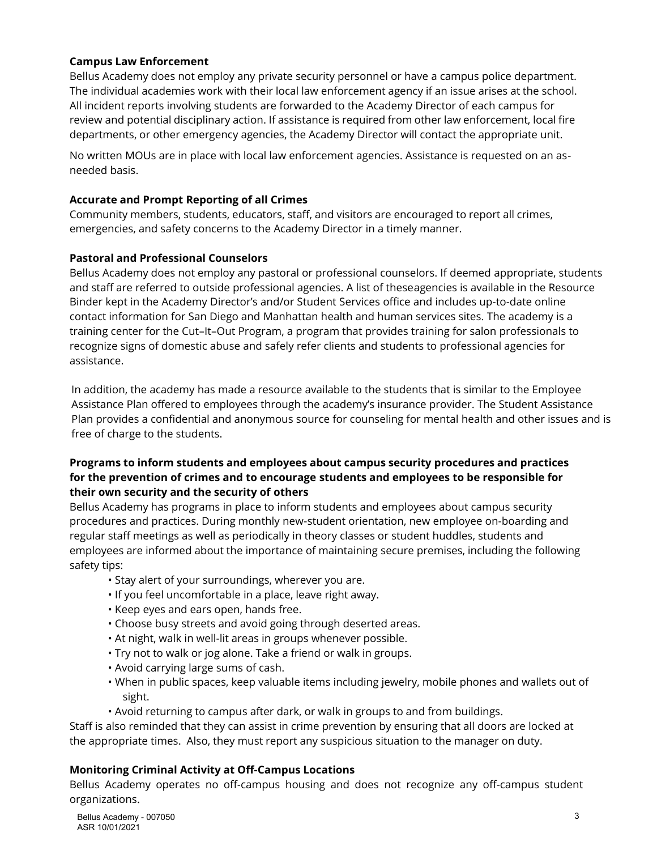### **Campus Law Enforcement**

Bellus Academy does not employ any private security personnel or have a campus police department. The individual academies work with their local law enforcement agency if an issue arises at the school. All incident reports involving students are forwarded to the Academy Director of each campus for review and potential disciplinary action. If assistance is required from other law enforcement, local fire departments, or other emergency agencies, the Academy Director will contact the appropriate unit.

No written MOUs are in place with local law enforcement agencies. Assistance is requested on an asneeded basis.

### **Accurate and Prompt Reporting of all Crimes**

Community members, students, educators, staff, and visitors are encouraged to report all crimes, emergencies, and safety concerns to the Academy Director in a timely manner.

### **Pastoral and Professional Counselors**

Bellus Academy does not employ any pastoral or professional counselors. If deemed appropriate, students and staff are referred to outside professional agencies. A list of theseagencies is available in the Resource Binder kept in the Academy Director's and/or Student Services office and includes up-to-date online contact information for San Diego and Manhattan health and human services sites. The academy is a training center for the Cut–It–Out Program, a program that provides training for salon professionals to recognize signs of domestic abuse and safely refer clients and students to professional agencies for assistance.

In addition, the academy has made a resource available to the students that is similar to the Employee Assistance Plan offered to employees through the academy's insurance provider. The Student Assistance Plan provides a confidential and anonymous source for counseling for mental health and other issues and is free of charge to the students.

# **Programs to inform students and employees about campus security procedures and practices for the prevention of crimes and to encourage students and employees to be responsible for their own security and the security of others**

Bellus Academy has programs in place to inform students and employees about campus security procedures and practices. During monthly new-student orientation, new employee on-boarding and regular staff meetings as well as periodically in theory classes or student huddles, students and employees are informed about the importance of maintaining secure premises, including the following safety tips:

- Stay alert of your surroundings, wherever you are.
- If you feel uncomfortable in a place, leave right away.
- Keep eyes and ears open, hands free.
- Choose busy streets and avoid going through deserted areas.
- At night, walk in well-lit areas in groups whenever possible.
- Try not to walk or jog alone. Take a friend or walk in groups.
- Avoid carrying large sums of cash.
- When in public spaces, keep valuable items including jewelry, mobile phones and wallets out of sight.
- Avoid returning to campus after dark, or walk in groups to and from buildings.

Staff is also reminded that they can assist in crime prevention by ensuring that all doors are locked at the appropriate times. Also, they must report any suspicious situation to the manager on duty.

# **Monitoring Criminal Activity at Off-Campus Locations**

Bellus Academy operates no off-campus housing and does not recognize any off-campus student organizations.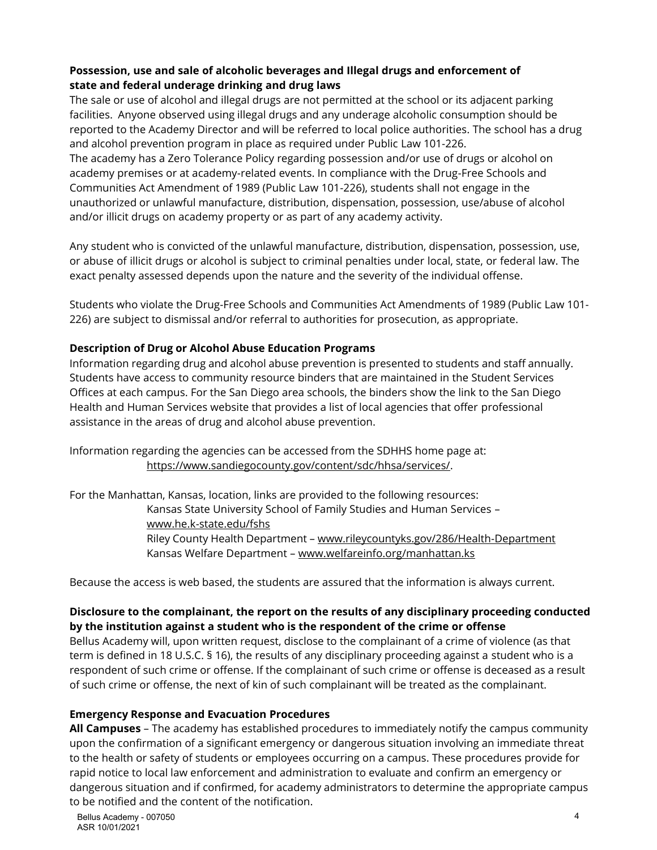# **Possession, use and sale of alcoholic beverages and Illegal drugs and enforcement of state and federal underage drinking and drug laws**

The sale or use of alcohol and illegal drugs are not permitted at the school or its adjacent parking facilities. Anyone observed using illegal drugs and any underage alcoholic consumption should be reported to the Academy Director and will be referred to local police authorities. The school has a drug and alcohol prevention program in place as required under Public Law 101-226. The academy has a Zero Tolerance Policy regarding possession and/or use of drugs or alcohol on academy premises or at academy-related events. In compliance with the Drug-Free Schools and

Communities Act Amendment of 1989 (Public Law 101-226), students shall not engage in the unauthorized or unlawful manufacture, distribution, dispensation, possession, use/abuse of alcohol and/or illicit drugs on academy property or as part of any academy activity.

Any student who is convicted of the unlawful manufacture, distribution, dispensation, possession, use, or abuse of illicit drugs or alcohol is subject to criminal penalties under local, state, or federal law. The exact penalty assessed depends upon the nature and the severity of the individual offense.

Students who violate the Drug-Free Schools and Communities Act Amendments of 1989 (Public Law 101- 226) are subject to dismissal and/or referral to authorities for prosecution, as appropriate.

# **Description of Drug or Alcohol Abuse Education Programs**

Information regarding drug and alcohol abuse prevention is presented to students and staff annually. Students have access to community resource binders that are maintained in the Student Services Offices at each campus. For the San Diego area schools, the binders show the link to the San Diego Health and Human Services website that provides a list of local agencies that offer professional assistance in the areas of drug and alcohol abuse prevention.

Information regarding the agencies can be accessed from the SDHHS home page at: [https://www.sandiegocounty.gov/content/sdc/hhsa/services/.](https://www.sandiegocounty.gov/content/sdc/hhsa/services/)

For the Manhattan, Kansas, location, links are provided to the following resources: Kansas State University School of Family Studies and Human Services – [www.he.k-state.edu/fshs](http://www.he.k-state.edu/fshs) Riley County Health Department – [www.rileycountyks.gov/286/Health-Department](http://www.rileycountyks.gov/286/Health-Department) Kansas Welfare Department – [www.welfareinfo.org/manhattan.ks](http://www.welfareinfo.org/manhattan.ks)

Because the access is web based, the students are assured that the information is always current.

# **Disclosure to the complainant, the report on the results of any disciplinary proceeding conducted by the institution against a student who is the respondent of the crime or offense**

Bellus Academy will, upon written request, disclose to the complainant of a crime of violence (as that term is defined in 18 U.S.C. § 16), the results of any disciplinary proceeding against a student who is a respondent of such crime or offense. If the complainant of such crime or offense is deceased as a result of such crime or offense, the next of kin of such complainant will be treated as the complainant.

# **Emergency Response and Evacuation Procedures**

**All Campuses** – The academy has established procedures to immediately notify the campus community upon the confirmation of a significant emergency or dangerous situation involving an immediate threat to the health or safety of students or employees occurring on a campus. These procedures provide for rapid notice to local law enforcement and administration to evaluate and confirm an emergency or dangerous situation and if confirmed, for academy administrators to determine the appropriate campus to be notified and the content of the notification.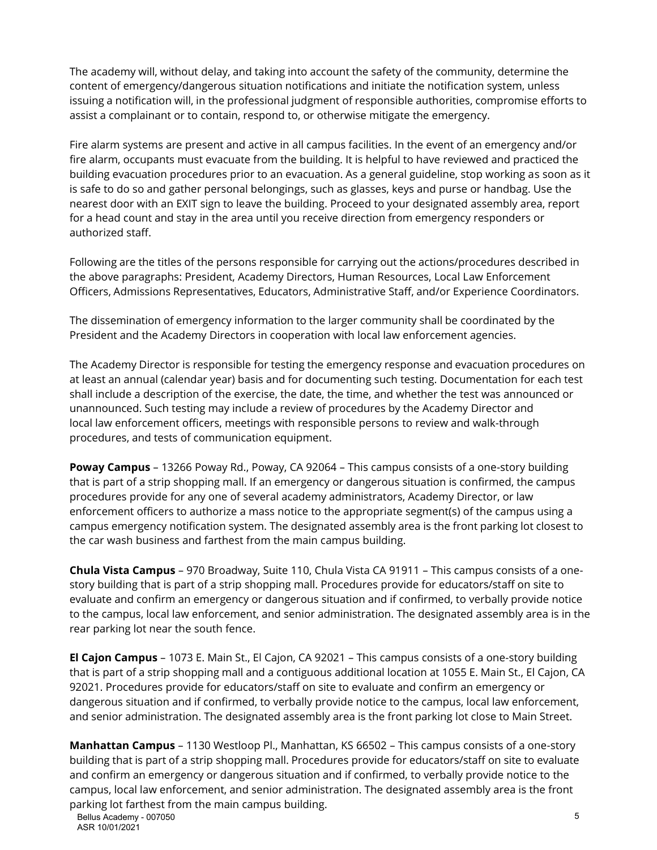The academy will, without delay, and taking into account the safety of the community, determine the content of emergency/dangerous situation notifications and initiate the notification system, unless issuing a notification will, in the professional judgment of responsible authorities, compromise efforts to assist a complainant or to contain, respond to, or otherwise mitigate the emergency.

Fire alarm systems are present and active in all campus facilities. In the event of an emergency and/or fire alarm, occupants must evacuate from the building. It is helpful to have reviewed and practiced the building evacuation procedures prior to an evacuation. As a general guideline, stop working as soon as it is safe to do so and gather personal belongings, such as glasses, keys and purse or handbag. Use the nearest door with an EXIT sign to leave the building. Proceed to your designated assembly area, report for a head count and stay in the area until you receive direction from emergency responders or authorized staff.

Following are the titles of the persons responsible for carrying out the actions/procedures described in the above paragraphs: President, Academy Directors, Human Resources, Local Law Enforcement Officers, Admissions Representatives, Educators, Administrative Staff, and/or Experience Coordinators.

The dissemination of emergency information to the larger community shall be coordinated by the President and the Academy Directors in cooperation with local law enforcement agencies.

The Academy Director is responsible for testing the emergency response and evacuation procedures on at least an annual (calendar year) basis and for documenting such testing. Documentation for each test shall include a description of the exercise, the date, the time, and whether the test was announced or unannounced. Such testing may include a review of procedures by the Academy Director and local law enforcement officers, meetings with responsible persons to review and walk-through procedures, and tests of communication equipment.

**Poway Campus** – 13266 Poway Rd., Poway, CA 92064 – This campus consists of a one-story building that is part of a strip shopping mall. If an emergency or dangerous situation is confirmed, the campus procedures provide for any one of several academy administrators, Academy Director, or law enforcement officers to authorize a mass notice to the appropriate segment(s) of the campus using a campus emergency notification system. The designated assembly area is the front parking lot closest to the car wash business and farthest from the main campus building.

**Chula Vista Campus** – 970 Broadway, Suite 110, Chula Vista CA 91911 – This campus consists of a onestory building that is part of a strip shopping mall. Procedures provide for educators/staff on site to evaluate and confirm an emergency or dangerous situation and if confirmed, to verbally provide notice to the campus, local law enforcement, and senior administration. The designated assembly area is in the rear parking lot near the south fence.

**El Cajon Campus** – 1073 E. Main St., El Cajon, CA 92021 – This campus consists of a one-story building that is part of a strip shopping mall and a contiguous additional location at 1055 E. Main St., El Cajon, CA 92021. Procedures provide for educators/staff on site to evaluate and confirm an emergency or dangerous situation and if confirmed, to verbally provide notice to the campus, local law enforcement, and senior administration. The designated assembly area is the front parking lot close to Main Street.

**Manhattan Campus** – 1130 Westloop Pl., Manhattan, KS 66502 – This campus consists of a one-story building that is part of a strip shopping mall. Procedures provide for educators/staff on site to evaluate and confirm an emergency or dangerous situation and if confirmed, to verbally provide notice to the campus, local law enforcement, and senior administration. The designated assembly area is the front parking lot farthest from the main campus building.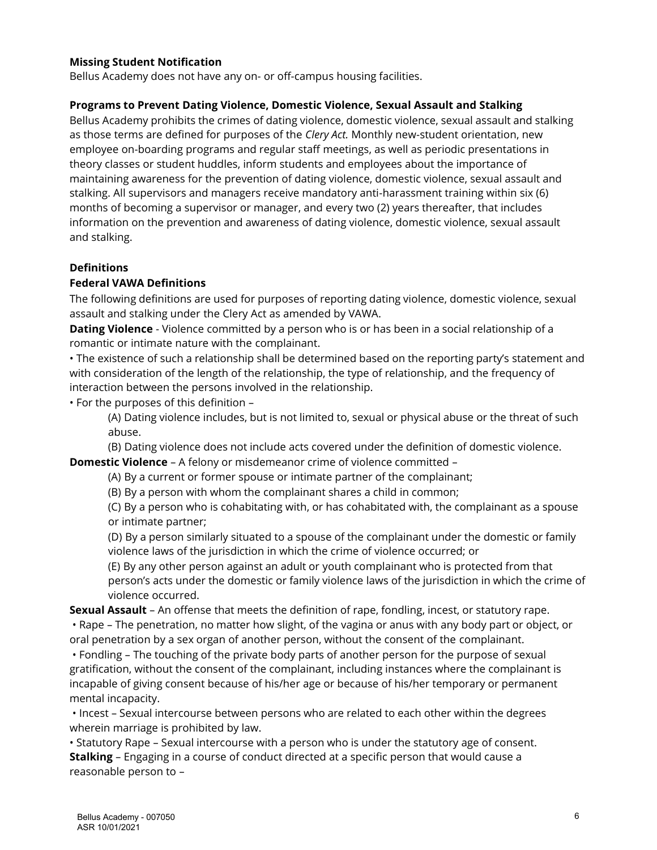### **Missing Student Notification**

Bellus Academy does not have any on- or off-campus housing facilities.

### **Programs to Prevent Dating Violence, Domestic Violence, Sexual Assault and Stalking**

Bellus Academy prohibits the crimes of dating violence, domestic violence, sexual assault and stalking as those terms are defined for purposes of the *Clery Act.* Monthly new-student orientation, new employee on-boarding programs and regular staff meetings, as well as periodic presentations in theory classes or student huddles, inform students and employees about the importance of maintaining awareness for the prevention of dating violence, domestic violence, sexual assault and stalking. All supervisors and managers receive mandatory anti-harassment training within six (6) months of becoming a supervisor or manager, and every two (2) years thereafter, that includes information on the prevention and awareness of dating violence, domestic violence, sexual assault and stalking.

### **Definitions**

### **Federal VAWA Definitions**

The following definitions are used for purposes of reporting dating violence, domestic violence, sexual assault and stalking under the Clery Act as amended by VAWA.

**Dating Violence** - Violence committed by a person who is or has been in a social relationship of a romantic or intimate nature with the complainant.

• The existence of such a relationship shall be determined based on the reporting party's statement and with consideration of the length of the relationship, the type of relationship, and the frequency of interaction between the persons involved in the relationship.

• For the purposes of this definition –

(A) Dating violence includes, but is not limited to, sexual or physical abuse or the threat of such abuse.

(B) Dating violence does not include acts covered under the definition of domestic violence.

**Domestic Violence** – A felony or misdemeanor crime of violence committed –

(A) By a current or former spouse or intimate partner of the complainant;

(B) By a person with whom the complainant shares a child in common;

(C) By a person who is cohabitating with, or has cohabitated with, the complainant as a spouse or intimate partner;

(D) By a person similarly situated to a spouse of the complainant under the domestic or family violence laws of the jurisdiction in which the crime of violence occurred; or

(E) By any other person against an adult or youth complainant who is protected from that person's acts under the domestic or family violence laws of the jurisdiction in which the crime of violence occurred.

**Sexual Assault** – An offense that meets the definition of rape, fondling, incest, or statutory rape.

• Rape – The penetration, no matter how slight, of the vagina or anus with any body part or object, or oral penetration by a sex organ of another person, without the consent of the complainant.

• Fondling – The touching of the private body parts of another person for the purpose of sexual gratification, without the consent of the complainant, including instances where the complainant is incapable of giving consent because of his/her age or because of his/her temporary or permanent mental incapacity.

• Incest – Sexual intercourse between persons who are related to each other within the degrees wherein marriage is prohibited by law.

• Statutory Rape – Sexual intercourse with a person who is under the statutory age of consent. **Stalking** – Engaging in a course of conduct directed at a specific person that would cause a reasonable person to –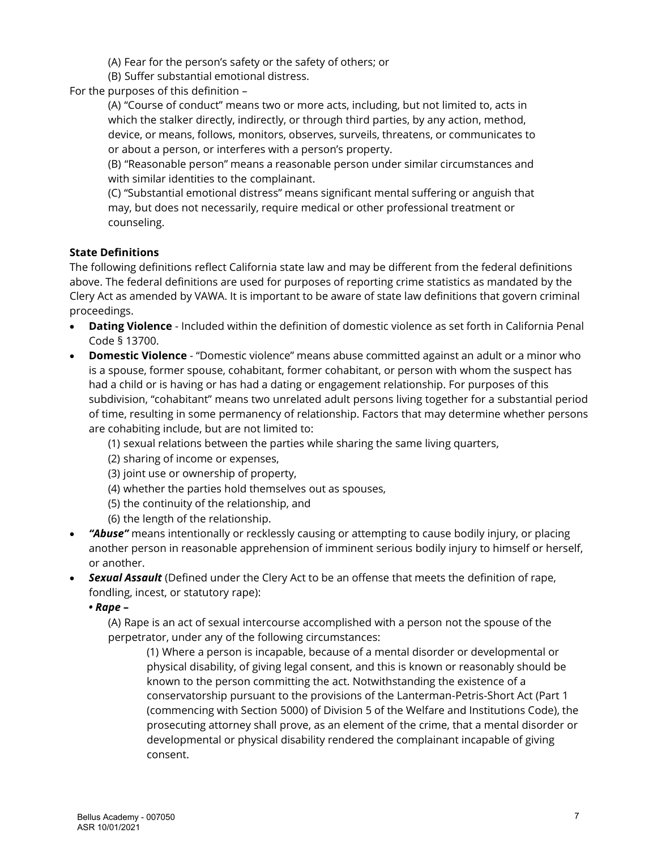(A) Fear for the person's safety or the safety of others; or

(B) Suffer substantial emotional distress.

For the purposes of this definition –

(A) "Course of conduct" means two or more acts, including, but not limited to, acts in which the stalker directly, indirectly, or through third parties, by any action, method, device, or means, follows, monitors, observes, surveils, threatens, or communicates to or about a person, or interferes with a person's property.

(B) "Reasonable person" means a reasonable person under similar circumstances and with similar identities to the complainant.

(C) "Substantial emotional distress" means significant mental suffering or anguish that may, but does not necessarily, require medical or other professional treatment or counseling.

# **State Definitions**

The following definitions reflect California state law and may be different from the federal definitions above. The federal definitions are used for purposes of reporting crime statistics as mandated by the Clery Act as amended by VAWA. It is important to be aware of state law definitions that govern criminal proceedings.

- **Dating Violence** Included within the definition of domestic violence as set forth in California Penal Code § 13700.
- **Domestic Violence** "Domestic violence" means abuse committed against an adult or a minor who is a spouse, former spouse, cohabitant, former cohabitant, or person with whom the suspect has had a child or is having or has had a dating or engagement relationship. For purposes of this subdivision, "cohabitant" means two unrelated adult persons living together for a substantial period of time, resulting in some permanency of relationship. Factors that may determine whether persons are cohabiting include, but are not limited to:
	- (1) sexual relations between the parties while sharing the same living quarters,
	- (2) sharing of income or expenses,
	- (3) joint use or ownership of property,
	- (4) whether the parties hold themselves out as spouses,
	- (5) the continuity of the relationship, and
	- (6) the length of the relationship.
- *"Abuse"* means intentionally or recklessly causing or attempting to cause bodily injury, or placing another person in reasonable apprehension of imminent serious bodily injury to himself or herself, or another.
- *Sexual Assault* (Defined under the Clery Act to be an offense that meets the definition of rape, fondling, incest, or statutory rape):

*• Rape* **–**

(A) Rape is an act of sexual intercourse accomplished with a person not the spouse of the perpetrator, under any of the following circumstances:

(1) Where a person is incapable, because of a mental disorder or developmental or physical disability, of giving legal consent, and this is known or reasonably should be known to the person committing the act. Notwithstanding the existence of a conservatorship pursuant to the provisions of the Lanterman-Petris-Short Act (Part 1 (commencing with Section 5000) of Division 5 of the Welfare and Institutions Code), the prosecuting attorney shall prove, as an element of the crime, that a mental disorder or developmental or physical disability rendered the complainant incapable of giving consent.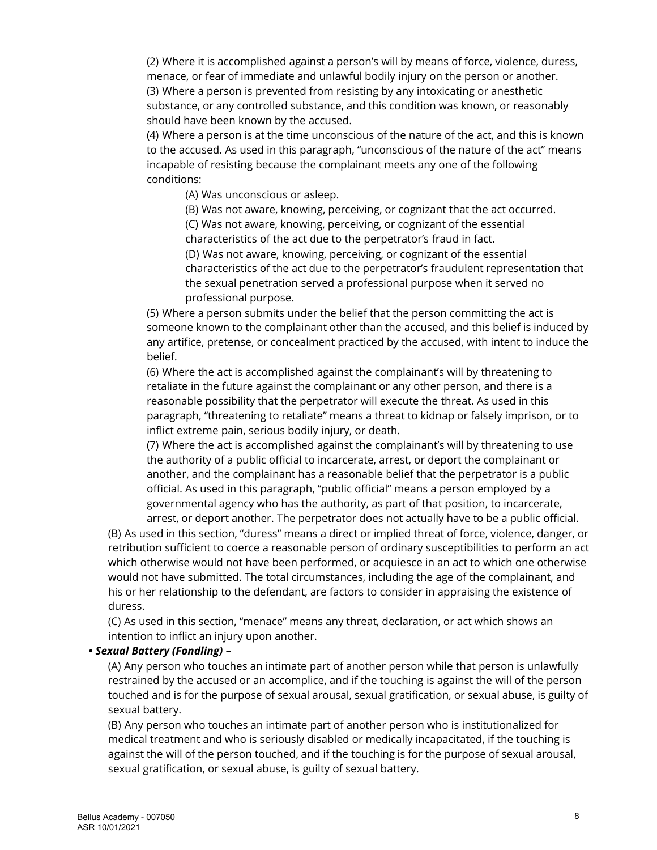(2) Where it is accomplished against a person's will by means of force, violence, duress, menace, or fear of immediate and unlawful bodily injury on the person or another. (3) Where a person is prevented from resisting by any intoxicating or anesthetic substance, or any controlled substance, and this condition was known, or reasonably should have been known by the accused.

(4) Where a person is at the time unconscious of the nature of the act, and this is known to the accused. As used in this paragraph, "unconscious of the nature of the act" means incapable of resisting because the complainant meets any one of the following conditions:

(A) Was unconscious or asleep.

(B) Was not aware, knowing, perceiving, or cognizant that the act occurred. (C) Was not aware, knowing, perceiving, or cognizant of the essential characteristics of the act due to the perpetrator's fraud in fact. (D) Was not aware, knowing, perceiving, or cognizant of the essential characteristics of the act due to the perpetrator's fraudulent representation that the sexual penetration served a professional purpose when it served no professional purpose.

(5) Where a person submits under the belief that the person committing the act is someone known to the complainant other than the accused, and this belief is induced by any artifice, pretense, or concealment practiced by the accused, with intent to induce the belief.

(6) Where the act is accomplished against the complainant's will by threatening to retaliate in the future against the complainant or any other person, and there is a reasonable possibility that the perpetrator will execute the threat. As used in this paragraph, "threatening to retaliate" means a threat to kidnap or falsely imprison, or to inflict extreme pain, serious bodily injury, or death.

(7) Where the act is accomplished against the complainant's will by threatening to use the authority of a public official to incarcerate, arrest, or deport the complainant or another, and the complainant has a reasonable belief that the perpetrator is a public official. As used in this paragraph, "public official" means a person employed by a governmental agency who has the authority, as part of that position, to incarcerate, arrest, or deport another. The perpetrator does not actually have to be a public official.

(B) As used in this section, "duress" means a direct or implied threat of force, violence, danger, or retribution sufficient to coerce a reasonable person of ordinary susceptibilities to perform an act which otherwise would not have been performed, or acquiesce in an act to which one otherwise would not have submitted. The total circumstances, including the age of the complainant, and his or her relationship to the defendant, are factors to consider in appraising the existence of duress.

(C) As used in this section, "menace" means any threat, declaration, or act which shows an intention to inflict an injury upon another.

### *• Sexual Battery (Fondling) –*

(A) Any person who touches an intimate part of another person while that person is unlawfully restrained by the accused or an accomplice, and if the touching is against the will of the person touched and is for the purpose of sexual arousal, sexual gratification, or sexual abuse, is guilty of sexual battery.

(B) Any person who touches an intimate part of another person who is institutionalized for medical treatment and who is seriously disabled or medically incapacitated, if the touching is against the will of the person touched, and if the touching is for the purpose of sexual arousal, sexual gratification, or sexual abuse, is guilty of sexual battery.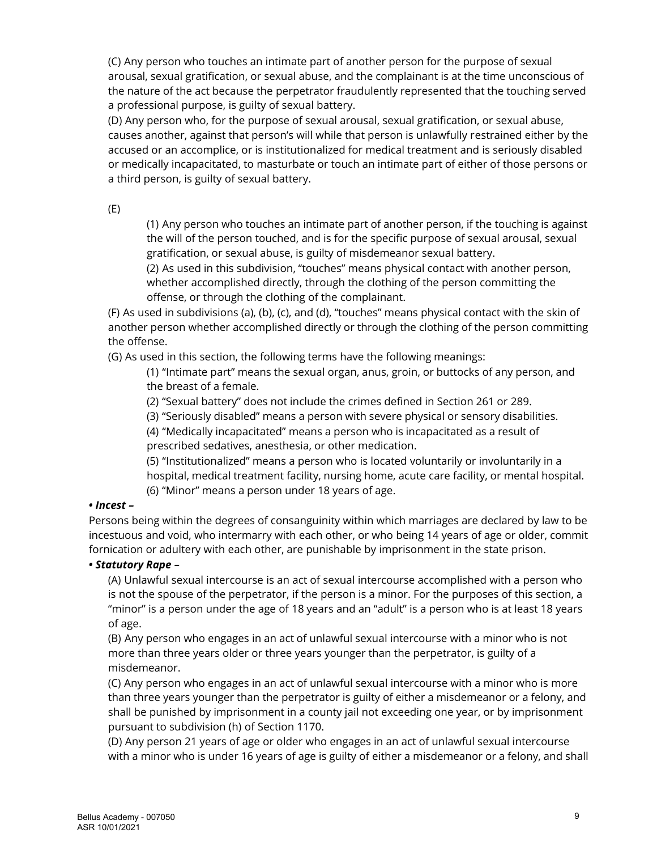(C) Any person who touches an intimate part of another person for the purpose of sexual arousal, sexual gratification, or sexual abuse, and the complainant is at the time unconscious of the nature of the act because the perpetrator fraudulently represented that the touching served a professional purpose, is guilty of sexual battery.

(D) Any person who, for the purpose of sexual arousal, sexual gratification, or sexual abuse, causes another, against that person's will while that person is unlawfully restrained either by the accused or an accomplice, or is institutionalized for medical treatment and is seriously disabled or medically incapacitated, to masturbate or touch an intimate part of either of those persons or a third person, is guilty of sexual battery.

(E)

(1) Any person who touches an intimate part of another person, if the touching is against the will of the person touched, and is for the specific purpose of sexual arousal, sexual gratification, or sexual abuse, is guilty of misdemeanor sexual battery.

(2) As used in this subdivision, "touches" means physical contact with another person, whether accomplished directly, through the clothing of the person committing the offense, or through the clothing of the complainant.

(F) As used in subdivisions (a), (b), (c), and (d), "touches" means physical contact with the skin of another person whether accomplished directly or through the clothing of the person committing the offense.

(G) As used in this section, the following terms have the following meanings:

(1) "Intimate part" means the sexual organ, anus, groin, or buttocks of any person, and the breast of a female.

(2) "Sexual battery" does not include the crimes defined in Section 261 or 289.

(3) "Seriously disabled" means a person with severe physical or sensory disabilities.

(4) "Medically incapacitated" means a person who is incapacitated as a result of prescribed sedatives, anesthesia, or other medication.

(5) "Institutionalized" means a person who is located voluntarily or involuntarily in a hospital, medical treatment facility, nursing home, acute care facility, or mental hospital. (6) "Minor" means a person under 18 years of age.

# *• Incest –*

Persons being within the degrees of consanguinity within which marriages are declared by law to be incestuous and void, who intermarry with each other, or who being 14 years of age or older, commit fornication or adultery with each other, are punishable by imprisonment in the state prison.

# *• Statutory Rape –*

(A) Unlawful sexual intercourse is an act of sexual intercourse accomplished with a person who is not the spouse of the perpetrator, if the person is a minor. For the purposes of this section, a "minor" is a person under the age of 18 years and an "adult" is a person who is at least 18 years of age.

(B) Any person who engages in an act of unlawful sexual intercourse with a minor who is not more than three years older or three years younger than the perpetrator, is guilty of a misdemeanor.

(C) Any person who engages in an act of unlawful sexual intercourse with a minor who is more than three years younger than the perpetrator is guilty of either a misdemeanor or a felony, and shall be punished by imprisonment in a county jail not exceeding one year, or by imprisonment pursuant to subdivision (h) of Section 1170.

(D) Any person 21 years of age or older who engages in an act of unlawful sexual intercourse with a minor who is under 16 years of age is guilty of either a misdemeanor or a felony, and shall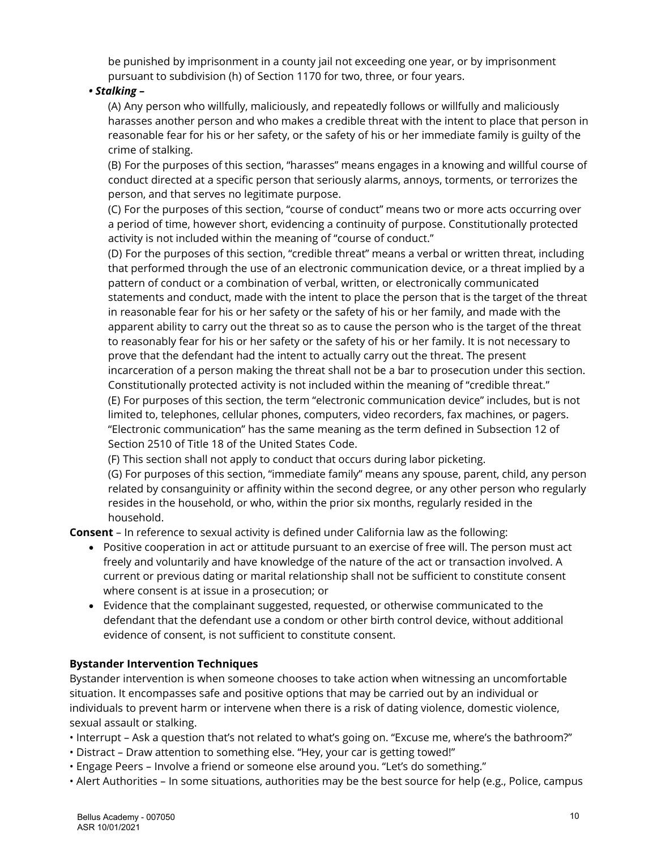be punished by imprisonment in a county jail not exceeding one year, or by imprisonment pursuant to subdivision (h) of Section 1170 for two, three, or four years.

# *• Stalking –*

(A) Any person who willfully, maliciously, and repeatedly follows or willfully and maliciously harasses another person and who makes a credible threat with the intent to place that person in reasonable fear for his or her safety, or the safety of his or her immediate family is guilty of the crime of stalking.

(B) For the purposes of this section, "harasses" means engages in a knowing and willful course of conduct directed at a specific person that seriously alarms, annoys, torments, or terrorizes the person, and that serves no legitimate purpose.

(C) For the purposes of this section, "course of conduct" means two or more acts occurring over a period of time, however short, evidencing a continuity of purpose. Constitutionally protected activity is not included within the meaning of "course of conduct."

(D) For the purposes of this section, "credible threat" means a verbal or written threat, including that performed through the use of an electronic communication device, or a threat implied by a pattern of conduct or a combination of verbal, written, or electronically communicated statements and conduct, made with the intent to place the person that is the target of the threat in reasonable fear for his or her safety or the safety of his or her family, and made with the apparent ability to carry out the threat so as to cause the person who is the target of the threat to reasonably fear for his or her safety or the safety of his or her family. It is not necessary to prove that the defendant had the intent to actually carry out the threat. The present incarceration of a person making the threat shall not be a bar to prosecution under this section. Constitutionally protected activity is not included within the meaning of "credible threat." (E) For purposes of this section, the term "electronic communication device" includes, but is not limited to, telephones, cellular phones, computers, video recorders, fax machines, or pagers. "Electronic communication" has the same meaning as the term defined in Subsection 12 of Section 2510 of Title 18 of the United States Code.

(F) This section shall not apply to conduct that occurs during labor picketing.

(G) For purposes of this section, "immediate family" means any spouse, parent, child, any person related by consanguinity or affinity within the second degree, or any other person who regularly resides in the household, or who, within the prior six months, regularly resided in the household.

**Consent** – In reference to sexual activity is defined under California law as the following:

- Positive cooperation in act or attitude pursuant to an exercise of free will. The person must act freely and voluntarily and have knowledge of the nature of the act or transaction involved. A current or previous dating or marital relationship shall not be sufficient to constitute consent where consent is at issue in a prosecution; or
- Evidence that the complainant suggested, requested, or otherwise communicated to the defendant that the defendant use a condom or other birth control device, without additional evidence of consent, is not sufficient to constitute consent.

# **Bystander Intervention Techniques**

Bystander intervention is when someone chooses to take action when witnessing an uncomfortable situation. It encompasses safe and positive options that may be carried out by an individual or individuals to prevent harm or intervene when there is a risk of dating violence, domestic violence, sexual assault or stalking.

- Interrupt Ask a question that's not related to what's going on. "Excuse me, where's the bathroom?"
- Distract Draw attention to something else. "Hey, your car is getting towed!"
- Engage Peers Involve a friend or someone else around you. "Let's do something."
- Alert Authorities In some situations, authorities may be the best source for help (e.g., Police, campus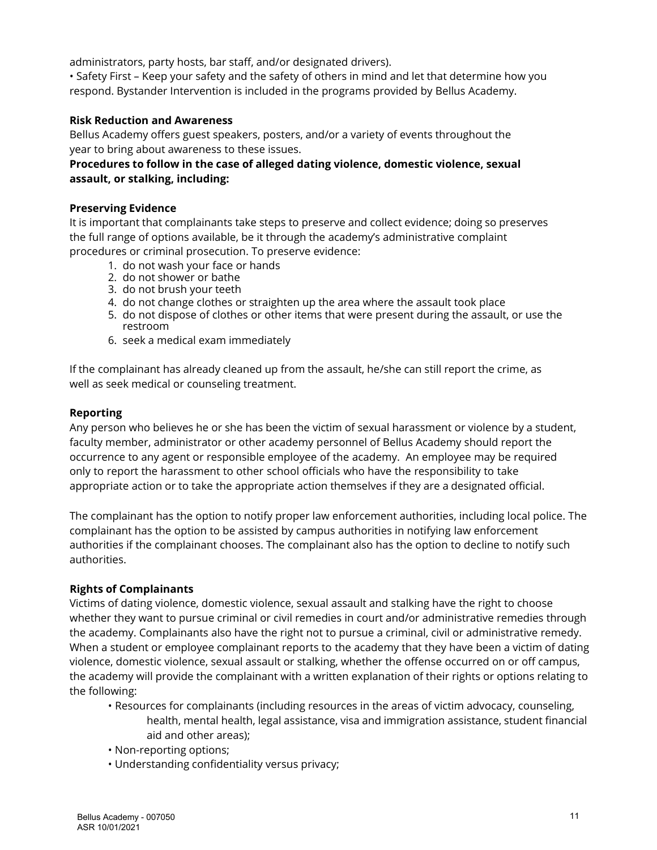administrators, party hosts, bar staff, and/or designated drivers).

• Safety First – Keep your safety and the safety of others in mind and let that determine how you respond. Bystander Intervention is included in the programs provided by Bellus Academy.

### **Risk Reduction and Awareness**

Bellus Academy offers guest speakers, posters, and/or a variety of events throughout the year to bring about awareness to these issues.

### **Procedures to follow in the case of alleged dating violence, domestic violence, sexual assault, or stalking, including:**

### **Preserving Evidence**

It is important that complainants take steps to preserve and collect evidence; doing so preserves the full range of options available, be it through the academy's administrative complaint procedures or criminal prosecution. To preserve evidence:

- 1. do not wash your face or hands
- 2. do not shower or bathe
- 3. do not brush your teeth
- 4. do not change clothes or straighten up the area where the assault took place
- 5. do not dispose of clothes or other items that were present during the assault, or use the restroom
- 6. seek a medical exam immediately

If the complainant has already cleaned up from the assault, he/she can still report the crime, as well as seek medical or counseling treatment.

### **Reporting**

Any person who believes he or she has been the victim of sexual harassment or violence by a student, faculty member, administrator or other academy personnel of Bellus Academy should report the occurrence to any agent or responsible employee of the academy. An employee may be required only to report the harassment to other school officials who have the responsibility to take appropriate action or to take the appropriate action themselves if they are a designated official.

The complainant has the option to notify proper law enforcement authorities, including local police. The complainant has the option to be assisted by campus authorities in notifying law enforcement authorities if the complainant chooses. The complainant also has the option to decline to notify such authorities.

### **Rights of Complainants**

Victims of dating violence, domestic violence, sexual assault and stalking have the right to choose whether they want to pursue criminal or civil remedies in court and/or administrative remedies through the academy. Complainants also have the right not to pursue a criminal, civil or administrative remedy. When a student or employee complainant reports to the academy that they have been a victim of dating violence, domestic violence, sexual assault or stalking, whether the offense occurred on or off campus, the academy will provide the complainant with a written explanation of their rights or options relating to the following:

- Resources for complainants (including resources in the areas of victim advocacy, counseling, health, mental health, legal assistance, visa and immigration assistance, student financial aid and other areas);
- Non-reporting options;
- Understanding confidentiality versus privacy;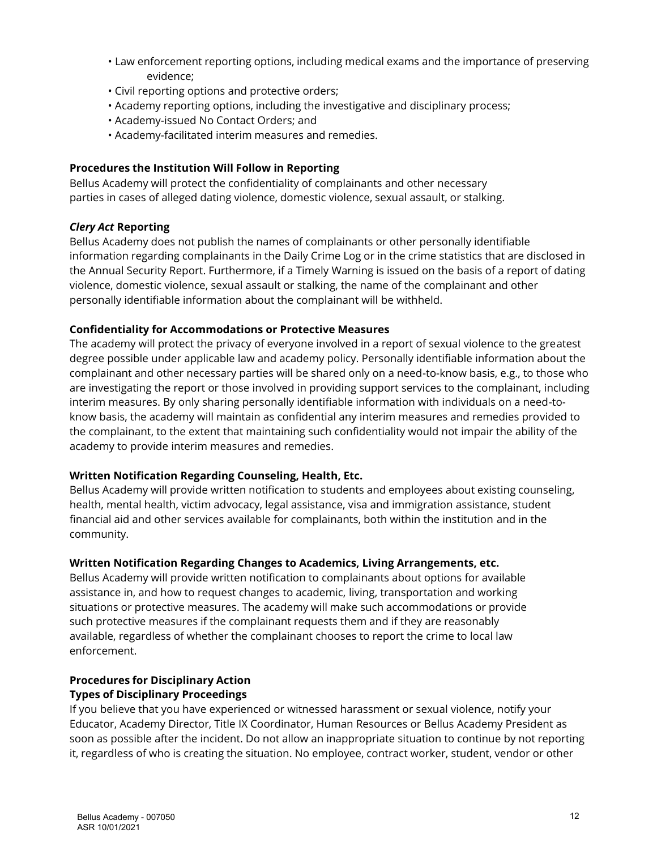- Law enforcement reporting options, including medical exams and the importance of preserving evidence;
- Civil reporting options and protective orders;
- Academy reporting options, including the investigative and disciplinary process;
- Academy-issued No Contact Orders; and
- Academy-facilitated interim measures and remedies.

### **Procedures the Institution Will Follow in Reporting**

Bellus Academy will protect the confidentiality of complainants and other necessary parties in cases of alleged dating violence, domestic violence, sexual assault, or stalking.

### *Clery Act* **Reporting**

Bellus Academy does not publish the names of complainants or other personally identifiable information regarding complainants in the Daily Crime Log or in the crime statistics that are disclosed in the Annual Security Report. Furthermore, if a Timely Warning is issued on the basis of a report of dating violence, domestic violence, sexual assault or stalking, the name of the complainant and other personally identifiable information about the complainant will be withheld.

### **Confidentiality for Accommodations or Protective Measures**

The academy will protect the privacy of everyone involved in a report of sexual violence to the greatest degree possible under applicable law and academy policy. Personally identifiable information about the complainant and other necessary parties will be shared only on a need-to-know basis, e.g., to those who are investigating the report or those involved in providing support services to the complainant, including interim measures. By only sharing personally identifiable information with individuals on a need-toknow basis, the academy will maintain as confidential any interim measures and remedies provided to the complainant, to the extent that maintaining such confidentiality would not impair the ability of the academy to provide interim measures and remedies.

# **Written Notification Regarding Counseling, Health, Etc.**

Bellus Academy will provide written notification to students and employees about existing counseling, health, mental health, victim advocacy, legal assistance, visa and immigration assistance, student financial aid and other services available for complainants, both within the institution and in the community.

### **Written Notification Regarding Changes to Academics, Living Arrangements, etc.**

Bellus Academy will provide written notification to complainants about options for available assistance in, and how to request changes to academic, living, transportation and working situations or protective measures. The academy will make such accommodations or provide such protective measures if the complainant requests them and if they are reasonably available, regardless of whether the complainant chooses to report the crime to local law enforcement.

# **Procedures for Disciplinary Action Types of Disciplinary Proceedings**

If you believe that you have experienced or witnessed harassment or sexual violence, notify your Educator, Academy Director, Title IX Coordinator, Human Resources or Bellus Academy President as soon as possible after the incident. Do not allow an inappropriate situation to continue by not reporting it, regardless of who is creating the situation. No employee, contract worker, student, vendor or other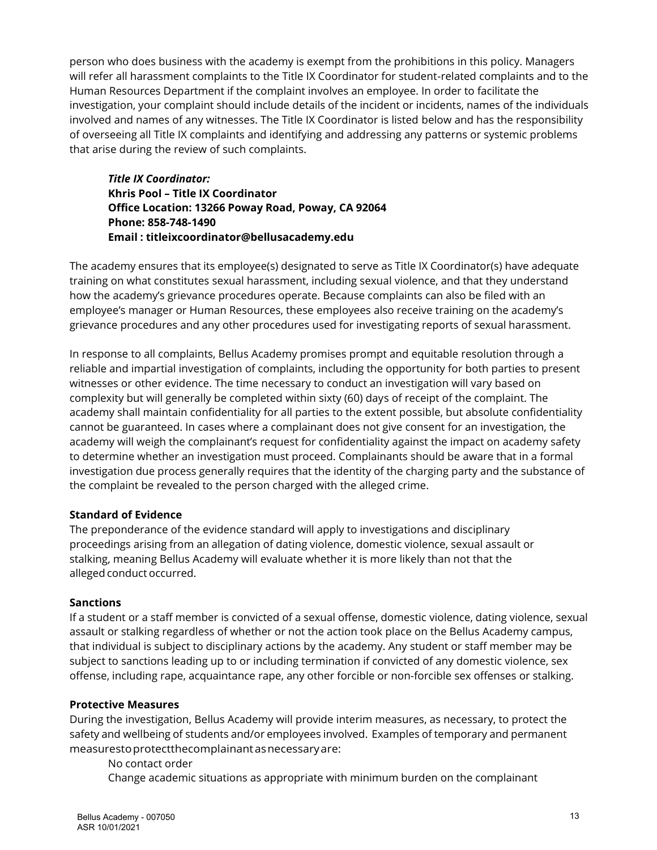person who does business with the academy is exempt from the prohibitions in this policy. Managers will refer all harassment complaints to the Title IX Coordinator for student-related complaints and to the Human Resources Department if the complaint involves an employee. In order to facilitate the investigation, your complaint should include details of the incident or incidents, names of the individuals involved and names of any witnesses. The Title IX Coordinator is listed below and has the responsibility of overseeing all Title IX complaints and identifying and addressing any patterns or systemic problems that arise during the review of such complaints.

*Title IX Coordinator:* **Khris Pool – Title IX Coordinator Office Location: 13266 Poway Road, Poway, CA 92064 Phone: 858-748-1490 Email : [titleixcoordinator@bellusacademy.edu](mailto:titleixcoordinator@bellusacademy.edu)**

The academy ensures that its employee(s) designated to serve as Title IX Coordinator(s) have adequate training on what constitutes sexual harassment, including sexual violence, and that they understand how the academy's grievance procedures operate. Because complaints can also be filed with an employee's manager or Human Resources, these employees also receive training on the academy's grievance procedures and any other procedures used for investigating reports of sexual harassment.

In response to all complaints, Bellus Academy promises prompt and equitable resolution through a reliable and impartial investigation of complaints, including the opportunity for both parties to present witnesses or other evidence. The time necessary to conduct an investigation will vary based on complexity but will generally be completed within sixty (60) days of receipt of the complaint. The academy shall maintain confidentiality for all parties to the extent possible, but absolute confidentiality cannot be guaranteed. In cases where a complainant does not give consent for an investigation, the academy will weigh the complainant's request for confidentiality against the impact on academy safety to determine whether an investigation must proceed. Complainants should be aware that in a formal investigation due process generally requires that the identity of the charging party and the substance of the complaint be revealed to the person charged with the alleged crime.

# **Standard of Evidence**

The preponderance of the evidence standard will apply to investigations and disciplinary proceedings arising from an allegation of dating violence, domestic violence, sexual assault or stalking, meaning Bellus Academy will evaluate whether it is more likely than not that the alleged conduct occurred.

### **Sanctions**

If a student or a staff member is convicted of a sexual offense, domestic violence, dating violence, sexual assault or stalking regardless of whether or not the action took place on the Bellus Academy campus, that individual is subject to disciplinary actions by the academy. Any student or staff member may be subject to sanctions leading up to or including termination if convicted of any domestic violence, sex offense, including rape, acquaintance rape, any other forcible or non-forcible sex offenses or stalking.

### **Protective Measures**

During the investigation, Bellus Academy will provide interim measures, as necessary, to protect the safety and wellbeing of students and/or employees involved. Examples of temporary and permanent measurestoprotectthecomplainantasnecessaryare:

# No contact order

Change academic situations as appropriate with minimum burden on the complainant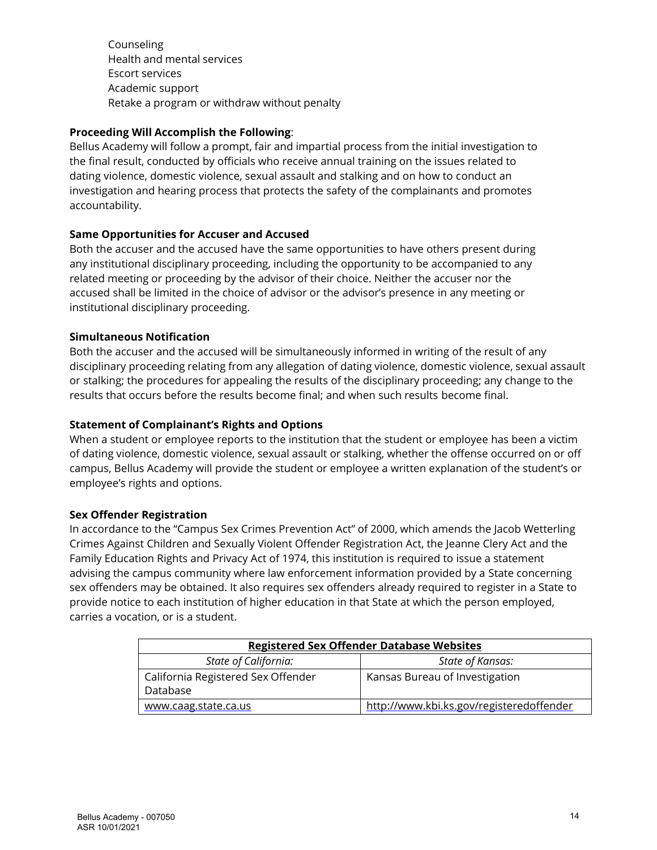Counseling Health and mental services Escort services Academic support Retake a program or withdraw without penalty

# **Proceeding Will Accomplish the Following**:

Bellus Academy will follow a prompt, fair and impartial process from the initial investigation to the final result, conducted by officials who receive annual training on the issues related to dating violence, domestic violence, sexual assault and stalking and on how to conduct an investigation and hearing process that protects the safety of the complainants and promotes accountability.

# **Same Opportunities for Accuser and Accused**

Both the accuser and the accused have the same opportunities to have others present during any institutional disciplinary proceeding, including the opportunity to be accompanied to any related meeting or proceeding by the advisor of their choice. Neither the accuser nor the accused shall be limited in the choice of advisor or the advisor's presence in any meeting or institutional disciplinary proceeding.

# **Simultaneous Notification**

Both the accuser and the accused will be simultaneously informed in writing of the result of any disciplinary proceeding relating from any allegation of dating violence, domestic violence, sexual assault or stalking; the procedures for appealing the results of the disciplinary proceeding; any change to the results that occurs before the results become final; and when such results become final.

# **Statement of Complainant's Rights and Options**

When a student or employee reports to the institution that the student or employee has been a victim of dating violence, domestic violence, sexual assault or stalking, whether the offense occurred on or off campus, Bellus Academy will provide the student or employee a written explanation of the student's or employee's rights and options.

# **Sex Offender Registration**

In accordance to the "Campus Sex Crimes Prevention Act" of 2000, which amends the Jacob Wetterling Crimes Against Children and Sexually Violent Offender Registration Act, the Jeanne Clery Act and the Family Education Rights and Privacy Act of 1974, this institution is required to issue a statement advising the campus community where law enforcement information provided by a State concerning sex offenders may be obtained. It also requires sex offenders already required to register in a State to provide notice to each institution of higher education in that State at which the person employed, carries a vocation, or is a student.

| <b>Registered Sex Offender Database Websites</b> |                                          |  |  |  |  |  |  |  |  |
|--------------------------------------------------|------------------------------------------|--|--|--|--|--|--|--|--|
| State of California:                             | State of Kansas:                         |  |  |  |  |  |  |  |  |
| California Registered Sex Offender<br>Database   | Kansas Bureau of Investigation           |  |  |  |  |  |  |  |  |
| www.caag.state.ca.us                             | http://www.kbi.ks.gov/registeredoffender |  |  |  |  |  |  |  |  |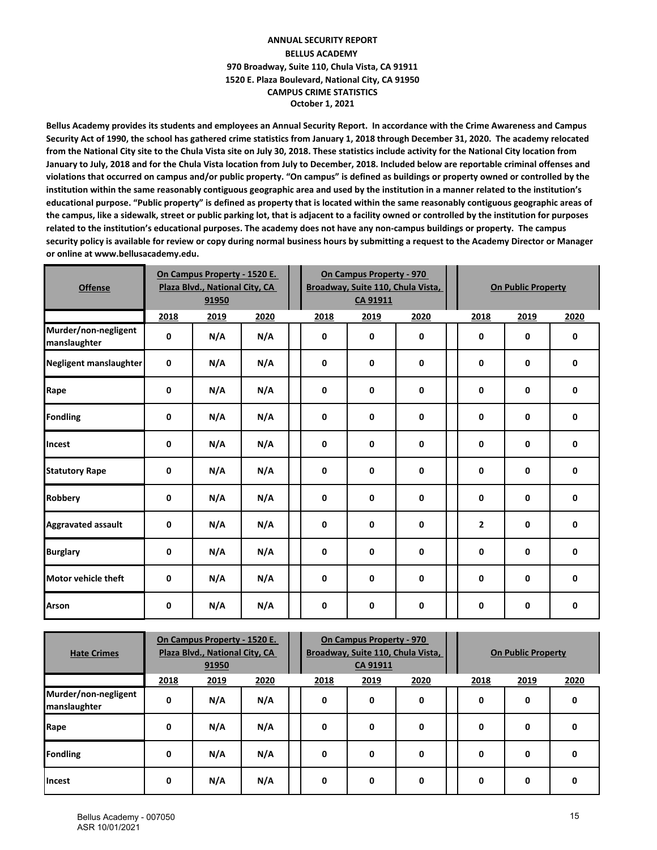#### **ANNUAL SECURITY REPORT BELLUS ACADEMY CAMPUS CRIME STATISTICS October 1, 2021 970 Broadway, Suite 110, Chula Vista, CA 91911 1520 E. Plaza Boulevard, National City, CA 91950**

Bellus Academy provides its students and employees an Annual Security Report. In accordance with the Crime Awareness and Campus Security Act of 1990, the school has gathered crime statistics from January 1, 2018 through December 31, 2020. The academy relocated from the National City site to the Chula Vista site on July 30, 2018. These statistics include activity for the National City location from January to July, 2018 and for the Chula Vista location from July to December, 2018. Included below are reportable criminal offenses and violations that occurred on campus and/or public property. "On campus" is defined as buildings or property owned or controlled by the institution within the same reasonably contiguous geographic area and used by the institution in a manner related to the institution's educational purpose. "Public property" is defined as property that is located within the same reasonably contiguous geographic areas of the campus, like a sidewalk, street or public parking lot, that is adjacent to a facility owned or controlled by the institution for purposes related to the institution's educational purposes. The academy does not have any non-campus buildings or property. The campus security policy is available for review or copy during normal business hours by submitting a request to the Academy Director or Manager **or online at www.bellusacademy.edu.**

| <b>Offense</b>                       |             | On Campus Property - 1520 E.<br>Plaza Blvd., National City, CA<br>91950 |      | On Campus Property - 970<br>Broadway, Suite 110, Chula Vista,<br>CA 91911 |      |              |  | <b>On Public Property</b> |      |              |  |  |
|--------------------------------------|-------------|-------------------------------------------------------------------------|------|---------------------------------------------------------------------------|------|--------------|--|---------------------------|------|--------------|--|--|
|                                      | 2018        | 2019                                                                    | 2020 | 2018                                                                      | 2019 | 2020         |  | 2018                      | 2019 | 2020         |  |  |
| Murder/non-negligent<br>manslaughter | 0           | N/A                                                                     | N/A  | 0                                                                         | 0    | 0            |  | 0                         | 0    | $\mathbf{0}$ |  |  |
| Negligent manslaughter               | $\mathbf 0$ | N/A                                                                     | N/A  | $\mathbf 0$                                                               | 0    | $\mathbf 0$  |  | 0                         | 0    | 0            |  |  |
| Rape                                 | 0           | N/A                                                                     | N/A  | 0                                                                         | 0    | $\mathbf{0}$ |  | 0                         | 0    | 0            |  |  |
| <b>Fondling</b>                      | $\mathbf 0$ | N/A                                                                     | N/A  | 0                                                                         | 0    | $\mathbf 0$  |  | 0                         | 0    | 0            |  |  |
| Incest                               | $\mathbf 0$ | N/A                                                                     | N/A  | $\mathbf 0$                                                               | 0    | $\mathbf 0$  |  | 0                         | 0    | 0            |  |  |
| <b>Statutory Rape</b>                | 0           | N/A                                                                     | N/A  | 0                                                                         | 0    | $\mathbf 0$  |  | 0                         | 0    | 0            |  |  |
| <b>Robbery</b>                       | 0           | N/A                                                                     | N/A  | 0                                                                         | 0    | $\mathbf{0}$ |  | 0                         | 0    | 0            |  |  |
| <b>Aggravated assault</b>            | $\mathbf 0$ | N/A                                                                     | N/A  | $\mathbf{0}$                                                              | 0    | $\mathbf{0}$ |  | $\overline{2}$            | 0    | 0            |  |  |
| <b>Burglary</b>                      | $\mathbf 0$ | N/A                                                                     | N/A  | 0                                                                         | 0    | $\mathbf 0$  |  | 0                         | 0    | 0            |  |  |
| Motor vehicle theft                  | 0           | N/A                                                                     | N/A  | 0                                                                         | 0    | $\mathbf{0}$ |  | 0                         | 0    | $\mathbf{0}$ |  |  |
| <b>Arson</b>                         | $\mathbf 0$ | N/A                                                                     | N/A  | $\mathbf 0$                                                               | 0    | $\mathbf 0$  |  | 0                         | 0    | 0            |  |  |

| <b>Hate Crimes</b>                   | On Campus Property - 1520 E.<br>Plaza Blvd., National City, CA<br>91950 |      |      | <b>On Campus Property - 970</b><br>Broadway, Suite 110, Chula Vista,<br>CA 91911 |      |      |  | <b>On Public Property</b> |      |      |  |  |
|--------------------------------------|-------------------------------------------------------------------------|------|------|----------------------------------------------------------------------------------|------|------|--|---------------------------|------|------|--|--|
|                                      | 2018                                                                    | 2019 | 2020 | 2018                                                                             | 2019 | 2020 |  | 2018                      | 2019 | 2020 |  |  |
| Murder/non-negligent<br>manslaughter | 0                                                                       | N/A  | N/A  | 0                                                                                | 0    | 0    |  | 0                         | 0    | 0    |  |  |
| Rape                                 | 0                                                                       | N/A  | N/A  | 0                                                                                | 0    | 0    |  | 0                         | 0    | 0    |  |  |
| <b>Fondling</b>                      | 0                                                                       | N/A  | N/A  | 0                                                                                | 0    | 0    |  | 0                         | 0    | 0    |  |  |
| Incest                               | 0                                                                       | N/A  | N/A  | 0                                                                                | 0    | 0    |  | 0                         | 0    | 0    |  |  |